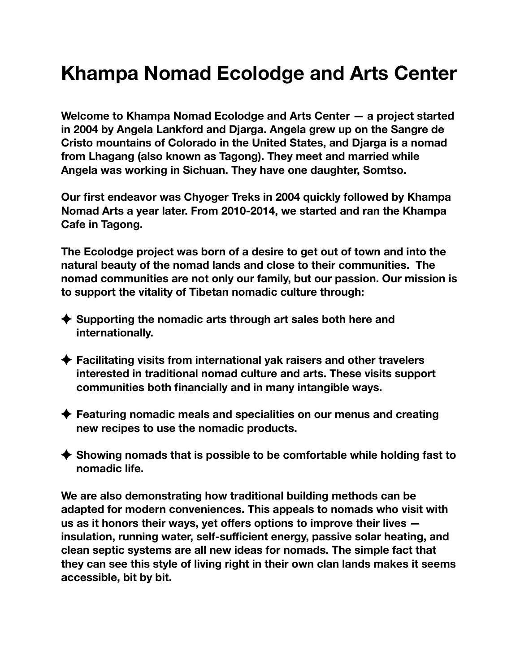### **Khampa Nomad Ecolodge and Arts Center**

**Welcome to Khampa Nomad Ecolodge and Arts Center — a project started in 2004 by Angela Lankford and Djarga. Angela grew up on the Sangre de Cristo mountains of Colorado in the United States, and Djarga is a nomad from Lhagang (also known as Tagong). They meet and married while Angela was working in Sichuan. They have one daughter, Somtso.** 

**Our first endeavor was Chyoger Treks in 2004 quickly followed by Khampa Nomad Arts a year later. From 2010-2014, we started and ran the Khampa Cafe in Tagong.** 

**The Ecolodge project was born of a desire to get out of town and into the natural beauty of the nomad lands and close to their communities. The nomad communities are not only our family, but our passion. Our mission is to support the vitality of Tibetan nomadic culture through:** 

- ◆ Supporting the nomadic arts through art sales both here and **internationally.**
- **Facilitating visits from international yak raisers and other travelers interested in traditional nomad culture and arts. These visits support communities both financially and in many intangible ways.**
- **Featuring nomadic meals and specialities on our menus and creating new recipes to use the nomadic products.**
- ◆ Showing nomads that is possible to be comfortable while holding fast to **nomadic life.**

**We are also demonstrating how traditional building methods can be adapted for modern conveniences. This appeals to nomads who visit with us as it honors their ways, yet offers options to improve their lives insulation, running water, self-sufficient energy, passive solar heating, and clean septic systems are all new ideas for nomads. The simple fact that they can see this style of living right in their own clan lands makes it seems accessible, bit by bit.**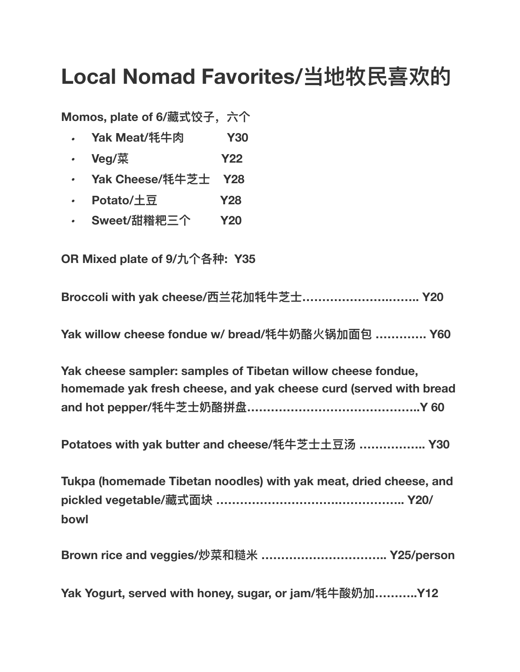## **Local Nomad Favorites/当地牧⺠喜欢的**

**Momos, plate of 6/藏式饺⼦,六个**

- *•* **Yak Meat/牦⽜⾁ Y30**
- *•* **Veg/菜 Y22**
- *•* **Yak Cheese/牦⽜芝⼠ Y28**
- *•* **Potato/⼟⾖ Y28**
- *•* **Sweet/甜糌粑三个 Y20**

**OR Mixed plate of 9/九个各种: Y35** 

**Broccoli with yak cheese/⻄兰花加牦⽜芝⼠………………….…….. Y20** 

**Yak willow cheese fondue w/ bread/牦⽜奶酪⽕锅加⾯包 …………. Y60** 

**Yak cheese sampler: samples of Tibetan willow cheese fondue, homemade yak fresh cheese, and yak cheese curd (served with bread and hot pepper/牦⽜芝⼠奶酪拼盘……………………………………..Y 60**

**Potatoes with yak butter and cheese/牦⽜芝⼠⼟⾖汤 …………….. Y30** 

**Tukpa (homemade Tibetan noodles) with yak meat, dried cheese, and pickled vegetable/藏式⾯块 ………………………….…………….. Y20/ bowl** 

**Brown rice and veggies/炒菜和糙⽶ ………………………….. Y25/person** 

**Yak Yogurt, served with honey, sugar, or jam/牦⽜酸奶加………..Y12**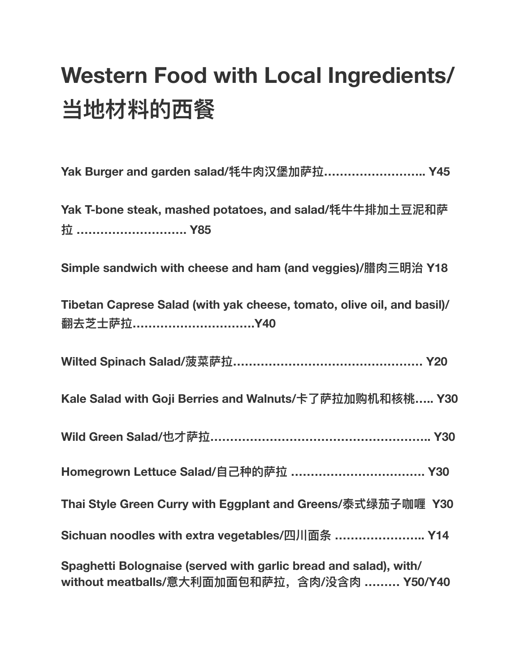# **Western Food with Local Ingredients/ 当地材料的西餐**

| Yak Burger and garden salad/牦牛肉汉堡加萨拉 Y45                                                                          |
|-------------------------------------------------------------------------------------------------------------------|
| Yak T-bone steak, mashed potatoes, and salad/牦牛牛排加土豆泥和萨<br>拉 ………………………… Y85                                       |
| Simple sandwich with cheese and ham (and veggies)/腊肉三明治 Y18                                                       |
| Tibetan Caprese Salad (with yak cheese, tomato, olive oil, and basil)/<br>翻去芝士萨拉Y40                               |
|                                                                                                                   |
| Kale Salad with Goji Berries and Walnuts/卡了萨拉加购机和核桃 Y30                                                           |
|                                                                                                                   |
| Homegrown Lettuce Salad/自己种的萨拉  Y30                                                                               |
| Thai Style Green Curry with Eggplant and Greens/泰式绿茄子咖喱 Y30                                                       |
| Sichuan noodles with extra vegetables/四川面条  Y14                                                                   |
| Spaghetti Bolognaise (served with garlic bread and salad), with/<br>without meatballs/意大利面加面包和萨拉, 含肉/没含肉  Y50/Y40 |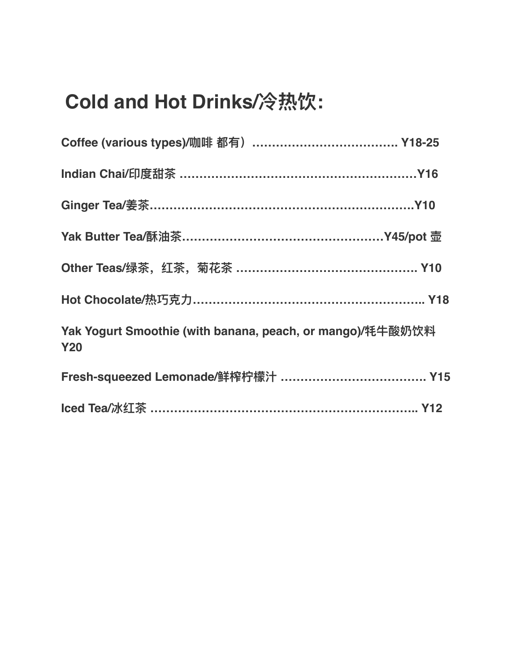### **Cold and Hot Drinks/冷热饮:**

| Other Teas/绿茶, 红茶, 菊花茶 ……………………………………… Y10                              |
|-------------------------------------------------------------------------|
|                                                                         |
| Yak Yogurt Smoothie (with banana, peach, or mango)/牦牛酸奶饮料<br><b>Y20</b> |
|                                                                         |
| Iced Tea/冰红茶 …………………………………………………………… Y12                                |